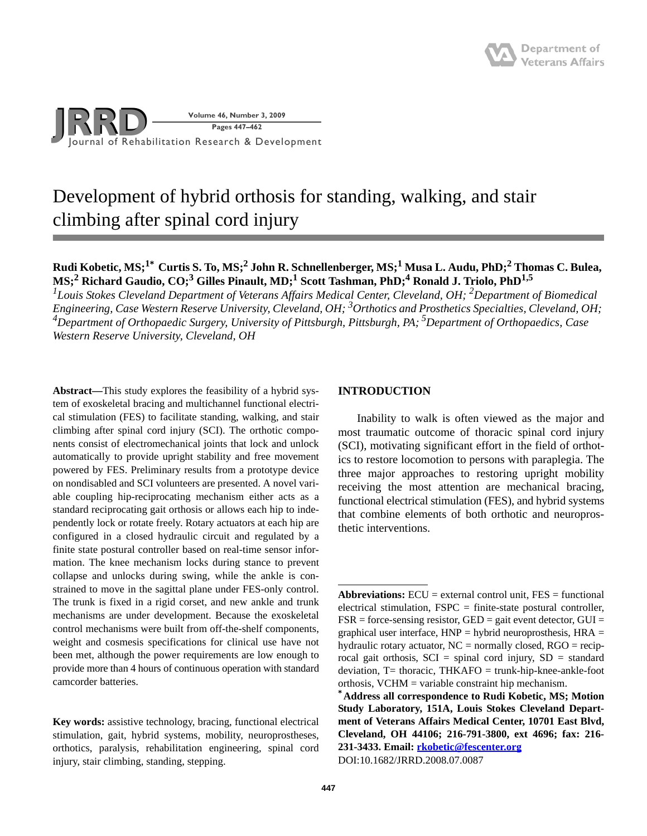

# Development of hybrid orthosis for standing, walking, and stair climbing after spinal cord injury

# **Rudi Kobetic, MS;1\* Curtis S. To, MS;<sup>2</sup> John R. Schnellenberger, MS;1 Musa L. Audu, PhD;<sup>2</sup> Thomas C. Bulea,**  MS;<sup>2</sup> Richard Gaudio, CO;<sup>3</sup> Gilles Pinault, MD;<sup>1</sup> Scott Tashman, PhD;<sup>4</sup> Ronald J. Triolo, PhD<sup>1,5</sup>

<sup>1</sup> Louis Stokes Cleveland Department of Veterans Affairs Medical Center, Cleveland, OH; <sup>2</sup>Department of Biomedical Engineering, Case Western Reserve University, Cleveland, OH; <sup>3</sup>Orthotics and Prosthetics Specialties, Cleveland, OH; *4Department of Orthopaedic Surgery, University of Pittsburgh, Pittsburgh, PA; 5Department of Orthopaedics, Case Western Reserve University, Cleveland, OH*

**Abstract—**This study explores the feasibility of a hybrid system of exoskeletal bracing and multichannel functional electrical stimulation (FES) to facilitate standing, walking, and stair climbing after spinal cord injury (SCI). The orthotic components consist of electromechanical joints that lock and unlock automatically to provide upright stability and free movement powered by FES. Preliminary results from a prototype device on nondisabled and SCI volunteers are presented. A novel variable coupling hip-reciprocating mechanism either acts as a standard reciprocating gait orthosis or allows each hip to independently lock or rotate freely. Rotary actuators at each hip are configured in a closed hydraulic circuit and regulated by a finite state postural controller based on real-time sensor information. The knee mechanism locks during stance to prevent collapse and unlocks during swing, while the ankle is constrained to move in the sagittal plane under FES-only control. The trunk is fixed in a rigid corset, and new ankle and trunk mechanisms are under development. Because the exoskeletal control mechanisms were built from off-the-shelf components, weight and cosmesis specifications for clinical use have not been met, although the power requirements are low enough to provide more than 4 hours of continuous operation with standard camcorder batteries.

**Key words:** assistive technology, bracing, functional electrical stimulation, gait, hybrid systems, mobility, neuroprostheses, orthotics, paralysis, rehabilitation engineering, spinal cord injury, stair climbing, standing, stepping.

# **INTRODUCTION**

Inability to walk is often viewed as the major and most traumatic outcome of thoracic spinal cord injury (SCI), motivating significant effort in the field of orthotics to restore locomotion to persons with paraplegia. The three major approaches to restoring upright mobility receiving the most attention are mechanical bracing, functional electrical stimulation (FES), and hybrid systems that combine elements of both orthotic and neuroprosthetic interventions.

**Abbreviations:** ECU = external control unit, FES = functional electrical stimulation,  $FSPC = finite-state$  postural controller,  $FSR =$  force-sensing resistor,  $GED =$  gait event detector,  $GUI =$ graphical user interface,  $HNP =$  hybrid neuroprosthesis,  $HRA =$ hydraulic rotary actuator,  $NC =$  normally closed,  $RGO =$  reciprocal gait orthosis,  $SCI = spinal cord injury, SD = standard$  $deviation, T= thoracic, THKAFO = trunk-hip-knee-ankle-foot$ orthosis, VCHM = variable constraint hip mechanism.

**<sup>\*</sup>Address all correspondence to Rudi Kobetic, MS; Motion Study Laboratory, 151A, Louis Stokes Cleveland Department of Veterans Affairs Medical Center, 10701 East Blvd, Cleveland, OH 44106; 216-791-3800, ext 4696; fax: 216- 231-3433. Email: [rkobetic@fescenter.org](mailto:rkobetic@fescenter.org)** DOI:10.1682/JRRD.2008.07.0087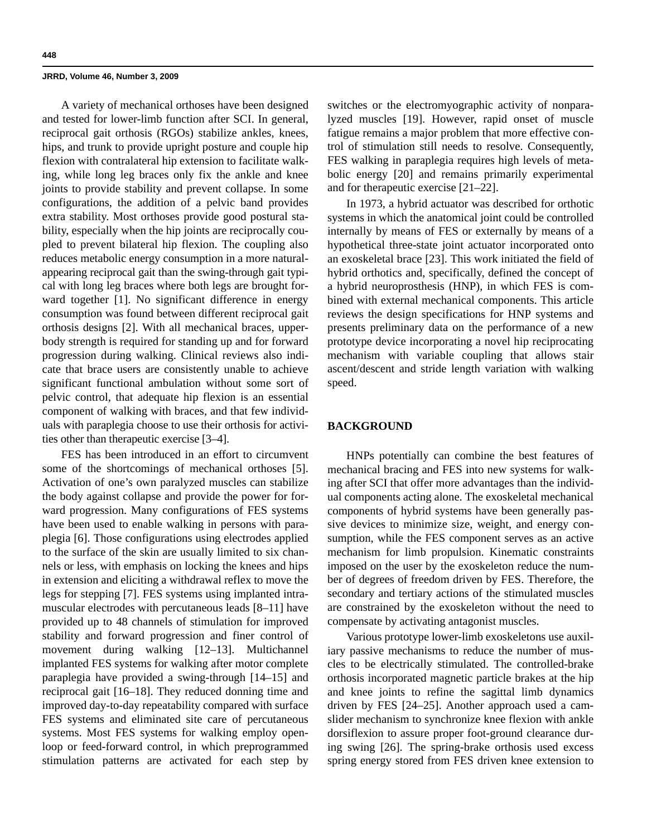A variety of mechanical orthoses have been designed and tested for lower-limb function after SCI. In general, reciprocal gait orthosis (RGOs) stabilize ankles, knees, hips, and trunk to provide upright posture and couple hip flexion with contralateral hip extension to facilitate walking, while long leg braces only fix the ankle and knee joints to provide stability and prevent collapse. In some configurations, the addition of a pelvic band provides extra stability. Most orthoses provide good postural stability, especially when the hip joints are reciprocally coupled to prevent bilateral hip flexion. The coupling also reduces metabolic energy consumption in a more naturalappearing reciprocal gait than the swing-through gait typical with long leg braces where both legs are brought forward together [1]. No significant difference in energy consumption was found between different reciprocal gait orthosis designs [2]. With all mechanical braces, upperbody strength is required for standing up and for forward progression during walking. Clinical reviews also indicate that brace users are consistently unable to achieve significant functional ambulation without some sort of pelvic control, that adequate hip flexion is an essential component of walking with braces, and that few individuals with paraplegia choose to use their orthosis for activities other than therapeutic exercise [3–4].

FES has been introduced in an effort to circumvent some of the shortcomings of mechanical orthoses [5]. Activation of one's own paralyzed muscles can stabilize the body against collapse and provide the power for forward progression. Many configurations of FES systems have been used to enable walking in persons with paraplegia [6]. Those configurations using electrodes applied to the surface of the skin are usually limited to six channels or less, with emphasis on locking the knees and hips in extension and eliciting a withdrawal reflex to move the legs for stepping [7]. FES systems using implanted intramuscular electrodes with percutaneous leads [8–11] have provided up to 48 channels of stimulation for improved stability and forward progression and finer control of movement during walking [12–13]. Multichannel implanted FES systems for walking after motor complete paraplegia have provided a swing-through [14–15] and reciprocal gait [16–18]. They reduced donning time and improved day-to-day repeatability compared with surface FES systems and eliminated site care of percutaneous systems. Most FES systems for walking employ openloop or feed-forward control, in which preprogrammed stimulation patterns are activated for each step by

switches or the electromyographic activity of nonparalyzed muscles [19]. However, rapid onset of muscle fatigue remains a major problem that more effective control of stimulation still needs to resolve. Consequently, FES walking in paraplegia requires high levels of metabolic energy [20] and remains primarily experimental and for therapeutic exercise [21–22].

In 1973, a hybrid actuator was described for orthotic systems in which the anatomical joint could be controlled internally by means of FES or externally by means of a hypothetical three-state joint actuator incorporated onto an exoskeletal brace [23]. This work initiated the field of hybrid orthotics and, specifically, defined the concept of a hybrid neuroprosthesis (HNP), in which FES is combined with external mechanical components. This article reviews the design specifications for HNP systems and presents preliminary data on the performance of a new prototype device incorporating a novel hip reciprocating mechanism with variable coupling that allows stair ascent/descent and stride length variation with walking speed.

# **BACKGROUND**

HNPs potentially can combine the best features of mechanical bracing and FES into new systems for walking after SCI that offer more advantages than the individual components acting alone. The exoskeletal mechanical components of hybrid systems have been generally passive devices to minimize size, weight, and energy consumption, while the FES component serves as an active mechanism for limb propulsion. Kinematic constraints imposed on the user by the exoskeleton reduce the number of degrees of freedom driven by FES. Therefore, the secondary and tertiary actions of the stimulated muscles are constrained by the exoskeleton without the need to compensate by activating antagonist muscles.

Various prototype lower-limb exoskeletons use auxiliary passive mechanisms to reduce the number of muscles to be electrically stimulated. The controlled-brake orthosis incorporated magnetic particle brakes at the hip and knee joints to refine the sagittal limb dynamics driven by FES [24–25]. Another approach used a camslider mechanism to synchronize knee flexion with ankle dorsiflexion to assure proper foot-ground clearance during swing [26]. The spring-brake orthosis used excess spring energy stored from FES driven knee extension to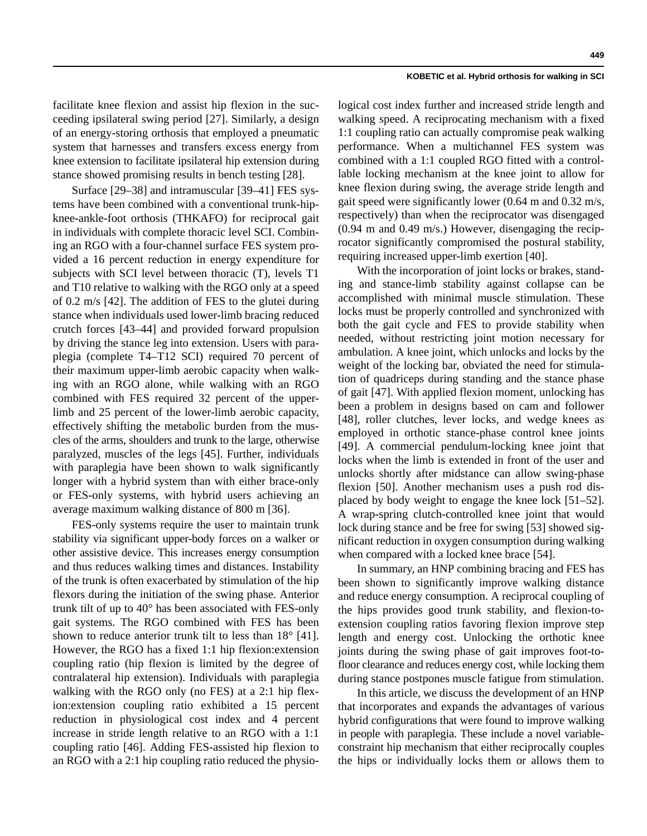facilitate knee flexion and assist hip flexion in the succeeding ipsilateral swing period [27]. Similarly, a design of an energy-storing orthosis that employed a pneumatic system that harnesses and transfers excess energy from knee extension to facilitate ipsilateral hip extension during stance showed promising results in bench testing [28].

Surface [29–38] and intramuscular [39–41] FES systems have been combined with a conventional trunk-hipknee-ankle-foot orthosis (THKAFO) for reciprocal gait in individuals with complete thoracic level SCI. Combining an RGO with a four-channel surface FES system provided a 16 percent reduction in energy expenditure for subjects with SCI level between thoracic (T), levels T1 and T10 relative to walking with the RGO only at a speed of 0.2 m/s [42]. The addition of FES to the glutei during stance when individuals used lower-limb bracing reduced crutch forces [43–44] and provided forward propulsion by driving the stance leg into extension. Users with paraplegia (complete T4–T12 SCI) required 70 percent of their maximum upper-limb aerobic capacity when walking with an RGO alone, while walking with an RGO combined with FES required 32 percent of the upperlimb and 25 percent of the lower-limb aerobic capacity, effectively shifting the metabolic burden from the muscles of the arms, shoulders and trunk to the large, otherwise paralyzed, muscles of the legs [45]. Further, individuals with paraplegia have been shown to walk significantly longer with a hybrid system than with either brace-only or FES-only systems, with hybrid users achieving an average maximum walking distance of 800 m [36].

FES-only systems require the user to maintain trunk stability via significant upper-body forces on a walker or other assistive device. This increases energy consumption and thus reduces walking times and distances. Instability of the trunk is often exacerbated by stimulation of the hip flexors during the initiation of the swing phase. Anterior trunk tilt of up to 40° has been associated with FES-only gait systems. The RGO combined with FES has been shown to reduce anterior trunk tilt to less than  $18^{\circ}$  [41]. However, the RGO has a fixed 1:1 hip flexion:extension coupling ratio (hip flexion is limited by the degree of contralateral hip extension). Individuals with paraplegia walking with the RGO only (no FES) at a 2:1 hip flexion:extension coupling ratio exhibited a 15 percent reduction in physiological cost index and 4 percent increase in stride length relative to an RGO with a 1:1 coupling ratio [46]. Adding FES-assisted hip flexion to an RGO with a 2:1 hip coupling ratio reduced the physiological cost index further and increased stride length and walking speed. A reciprocating mechanism with a fixed 1:1 coupling ratio can actually compromise peak walking performance. When a multichannel FES system was combined with a 1:1 coupled RGO fitted with a controllable locking mechanism at the knee joint to allow for knee flexion during swing, the average stride length and gait speed were significantly lower (0.64 m and 0.32 m/s, respectively) than when the reciprocator was disengaged (0.94 m and 0.49 m/s.) However, disengaging the reciprocator significantly compromised the postural stability, requiring increased upper-limb exertion [40].

With the incorporation of joint locks or brakes, standing and stance-limb stability against collapse can be accomplished with minimal muscle stimulation. These locks must be properly controlled and synchronized with both the gait cycle and FES to provide stability when needed, without restricting joint motion necessary for ambulation. A knee joint, which unlocks and locks by the weight of the locking bar, obviated the need for stimulation of quadriceps during standing and the stance phase of gait [47]. With applied flexion moment, unlocking has been a problem in designs based on cam and follower [48], roller clutches, lever locks, and wedge knees as employed in orthotic stance-phase control knee joints [49]. A commercial pendulum-locking knee joint that locks when the limb is extended in front of the user and unlocks shortly after midstance can allow swing-phase flexion [50]. Another mechanism uses a push rod displaced by body weight to engage the knee lock [51–52]. A wrap-spring clutch-controlled knee joint that would lock during stance and be free for swing [53] showed significant reduction in oxygen consumption during walking when compared with a locked knee brace [54].

In summary, an HNP combining bracing and FES has been shown to significantly improve walking distance and reduce energy consumption. A reciprocal coupling of the hips provides good trunk stability, and flexion-toextension coupling ratios favoring flexion improve step length and energy cost. Unlocking the orthotic knee joints during the swing phase of gait improves foot-tofloor clearance and reduces energy cost, while locking them during stance postpones muscle fatigue from stimulation.

In this article, we discuss the development of an HNP that incorporates and expands the advantages of various hybrid configurations that were found to improve walking in people with paraplegia. These include a novel variableconstraint hip mechanism that either reciprocally couples the hips or individually locks them or allows them to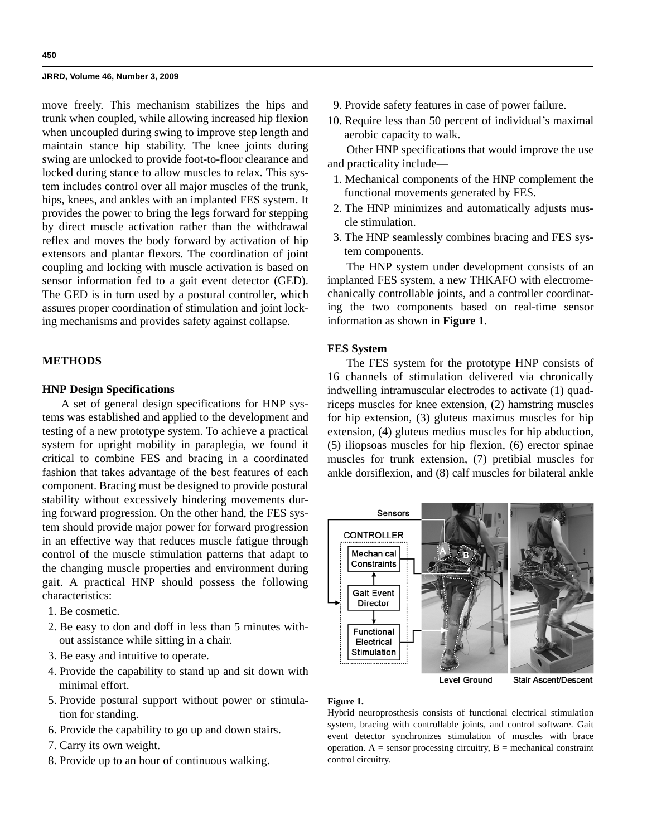move freely. This mechanism stabilizes the hips and trunk when coupled, while allowing increased hip flexion when uncoupled during swing to improve step length and maintain stance hip stability. The knee joints during swing are unlocked to provide foot-to-floor clearance and locked during stance to allow muscles to relax. This system includes control over all major muscles of the trunk, hips, knees, and ankles with an implanted FES system. It provides the power to bring the legs forward for stepping by direct muscle activation rather than the withdrawal reflex and moves the body forward by activation of hip extensors and plantar flexors. The coordination of joint coupling and locking with muscle activation is based on sensor information fed to a gait event detector (GED). The GED is in turn used by a postural controller, which assures proper coordination of stimulation and joint locking mechanisms and provides safety against collapse.

# **METHODS**

# **HNP Design Specifications**

A set of general design specifications for HNP systems was established and applied to the development and testing of a new prototype system. To achieve a practical system for upright mobility in paraplegia, we found it critical to combine FES and bracing in a coordinated fashion that takes advantage of the best features of each component. Bracing must be designed to provide postural stability without excessively hindering movements during forward progression. On the other hand, the FES system should provide major power for forward progression in an effective way that reduces muscle fatigue through control of the muscle stimulation patterns that adapt to the changing muscle properties and environment during gait. A practical HNP should possess the following characteristics:

- 1. Be cosmetic.
- 2. Be easy to don and doff in less than 5 minutes without assistance while sitting in a chair.
- 3. Be easy and intuitive to operate.
- 4. Provide the capability to stand up and sit down with minimal effort.
- 5. Provide postural support without power or stimulation for standing.
- 6. Provide the capability to go up and down stairs.
- 7. Carry its own weight.
- 8. Provide up to an hour of continuous walking.
- 9. Provide safety features in case of power failure.
- 10. Require less than 50 percent of individual's maximal aerobic capacity to walk.

Other HNP specifications that would improve the use and practicality include—

- 1. Mechanical components of the HNP complement the functional movements generated by FES.
- 2. The HNP minimizes and automatically adjusts muscle stimulation.
- 3. The HNP seamlessly combines bracing and FES system components.

The HNP system under development consists of an implanted FES system, a new THKAFO with electromechanically controllable joints, and a controller coordinating the two components based on real-time sensor information as shown in **Figure 1**.

# **FES System**

The FES system for the prototype HNP consists of 16 channels of stimulation delivered via chronically indwelling intramuscular electrodes to activate (1) quadriceps muscles for knee extension, (2) hamstring muscles for hip extension, (3) gluteus maximus muscles for hip extension, (4) gluteus medius muscles for hip abduction, (5) iliopsoas muscles for hip flexion, (6) erector spinae muscles for trunk extension, (7) pretibial muscles for ankle dorsiflexion, and (8) calf muscles for bilateral ankle



Stair Ascent/Descent

# **Figure 1.**

Hybrid neuroprosthesis consists of functional electrical stimulation system, bracing with controllable joints, and control software. Gait event detector synchronizes stimulation of muscles with brace operation.  $A =$  sensor processing circuitry,  $B =$  mechanical constraint control circuitry.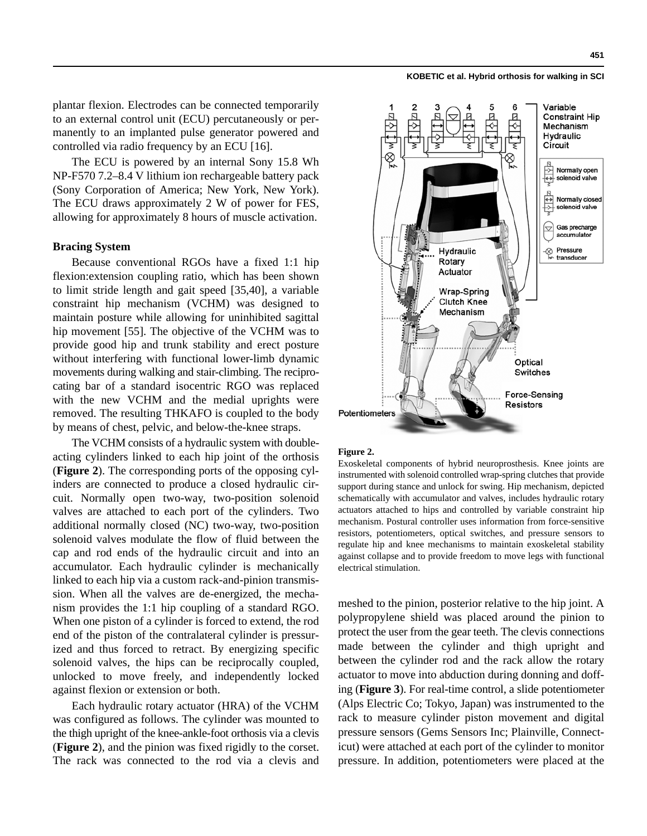plantar flexion. Electrodes can be connected temporarily to an external control unit (ECU) percutaneously or permanently to an implanted pulse generator powered and controlled via radio frequency by an ECU [16].

The ECU is powered by an internal Sony 15.8 Wh NP-F570 7.2–8.4 V lithium ion rechargeable battery pack (Sony Corporation of America; New York, New York). The ECU draws approximately 2 W of power for FES, allowing for approximately 8 hours of muscle activation.

# **Bracing System**

Because conventional RGOs have a fixed 1:1 hip flexion:extension coupling ratio, which has been shown to limit stride length and gait speed [35,40], a variable constraint hip mechanism (VCHM) was designed to maintain posture while allowing for uninhibited sagittal hip movement [55]. The objective of the VCHM was to provide good hip and trunk stability and erect posture without interfering with functional lower-limb dynamic movements during walking and stair-climbing. The reciprocating bar of a standard isocentric RGO was replaced with the new VCHM and the medial uprights were removed. The resulting THKAFO is coupled to the body by means of chest, pelvic, and below-the-knee straps.

The VCHM consists of a hydraulic system with doubleacting cylinders linked to each hip joint of the orthosis (**Figure 2**). The corresponding ports of the opposing cylinders are connected to produce a closed hydraulic circuit. Normally open two-way, two-position solenoid valves are attached to each port of the cylinders. Two additional normally closed (NC) two-way, two-position solenoid valves modulate the flow of fluid between the cap and rod ends of the hydraulic circuit and into an accumulator. Each hydraulic cylinder is mechanically linked to each hip via a custom rack-and-pinion transmission. When all the valves are de-energized, the mechanism provides the 1:1 hip coupling of a standard RGO. When one piston of a cylinder is forced to extend, the rod end of the piston of the contralateral cylinder is pressurized and thus forced to retract. By energizing specific solenoid valves, the hips can be reciprocally coupled, unlocked to move freely, and independently locked against flexion or extension or both.

Each hydraulic rotary actuator (HRA) of the VCHM was configured as follows. The cylinder was mounted to the thigh upright of the knee-ankle-foot orthosis via a clevis (**Figure 2**), and the pinion was fixed rigidly to the corset. The rack was connected to the rod via a clevis and



#### **Figure 2.**

Exoskeletal components of hybrid neuroprosthesis. Knee joints are instrumented with solenoid controlled wrap-spring clutches that provide support during stance and unlock for swing. Hip mechanism, depicted schematically with accumulator and valves, includes hydraulic rotary actuators attached to hips and controlled by variable constraint hip mechanism. Postural controller uses information from force-sensitive resistors, potentiometers, optical switches, and pressure sensors to regulate hip and knee mechanisms to maintain exoskeletal stability against collapse and to provide freedom to move legs with functional electrical stimulation.

meshed to the pinion, posterior relative to the hip joint. A polypropylene shield was placed around the pinion to protect the user from the gear teeth. The clevis connections made between the cylinder and thigh upright and between the cylinder rod and the rack allow the rotary actuator to move into abduction during donning and doffing (**Figure 3**). For real-time control, a slide potentiometer (Alps Electric Co; Tokyo, Japan) was instrumented to the rack to measure cylinder piston movement and digital pressure sensors (Gems Sensors Inc; Plainville, Connecticut) were attached at each port of the cylinder to monitor pressure. In addition, potentiometers were placed at the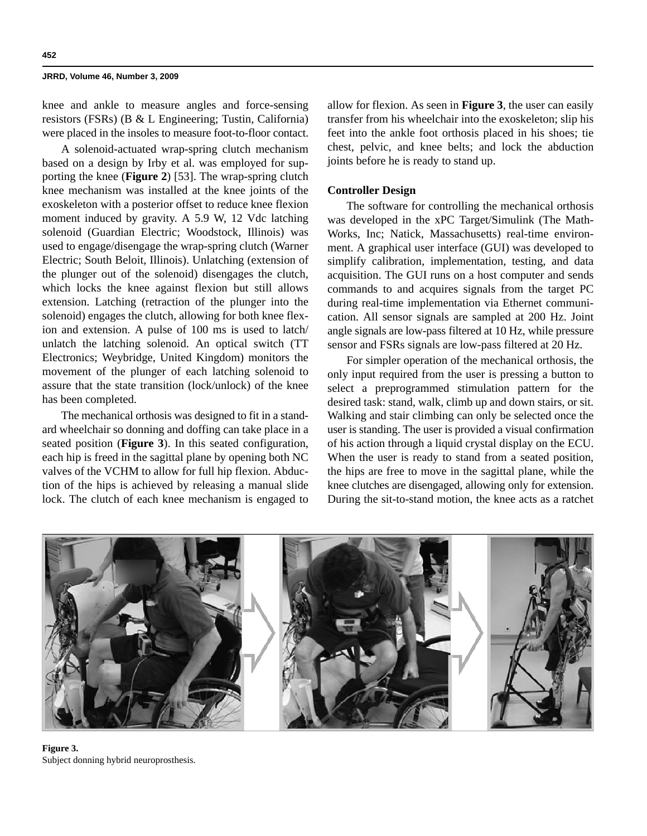knee and ankle to measure angles and force-sensing resistors (FSRs) (B & L Engineering; Tustin, California) were placed in the insoles to measure foot-to-floor contact.

A solenoid-actuated wrap-spring clutch mechanism based on a design by Irby et al. was employed for supporting the knee (**Figure 2**) [53]. The wrap-spring clutch knee mechanism was installed at the knee joints of the exoskeleton with a posterior offset to reduce knee flexion moment induced by gravity. A 5.9 W, 12 Vdc latching solenoid (Guardian Electric; Woodstock, Illinois) was used to engage/disengage the wrap-spring clutch (Warner Electric; South Beloit, Illinois). Unlatching (extension of the plunger out of the solenoid) disengages the clutch, which locks the knee against flexion but still allows extension. Latching (retraction of the plunger into the solenoid) engages the clutch, allowing for both knee flexion and extension. A pulse of 100 ms is used to latch/ unlatch the latching solenoid. An optical switch (TT Electronics; Weybridge, United Kingdom) monitors the movement of the plunger of each latching solenoid to assure that the state transition (lock/unlock) of the knee has been completed.

The mechanical orthosis was designed to fit in a standard wheelchair so donning and doffing can take place in a seated position (**Figure 3**). In this seated configuration, each hip is freed in the sagittal plane by opening both NC valves of the VCHM to allow for full hip flexion. Abduction of the hips is achieved by releasing a manual slide lock. The clutch of each knee mechanism is engaged to allow for flexion. As seen in **Figure 3**, the user can easily transfer from his wheelchair into the exoskeleton; slip his feet into the ankle foot orthosis placed in his shoes; tie chest, pelvic, and knee belts; and lock the abduction joints before he is ready to stand up.

# **Controller Design**

The software for controlling the mechanical orthosis was developed in the xPC Target/Simulink (The Math-Works, Inc; Natick, Massachusetts) real-time environment. A graphical user interface (GUI) was developed to simplify calibration, implementation, testing, and data acquisition. The GUI runs on a host computer and sends commands to and acquires signals from the target PC during real-time implementation via Ethernet communication. All sensor signals are sampled at 200 Hz. Joint angle signals are low-pass filtered at 10 Hz, while pressure sensor and FSRs signals are low-pass filtered at 20 Hz.

For simpler operation of the mechanical orthosis, the only input required from the user is pressing a button to select a preprogrammed stimulation pattern for the desired task: stand, walk, climb up and down stairs, or sit. Walking and stair climbing can only be selected once the user is standing. The user is provided a visual confirmation of his action through a liquid crystal display on the ECU. When the user is ready to stand from a seated position, the hips are free to move in the sagittal plane, while the knee clutches are disengaged, allowing only for extension. During the sit-to-stand motion, the knee acts as a ratchet



**Figure 3.** Subject donning hybrid neuroprosthesis.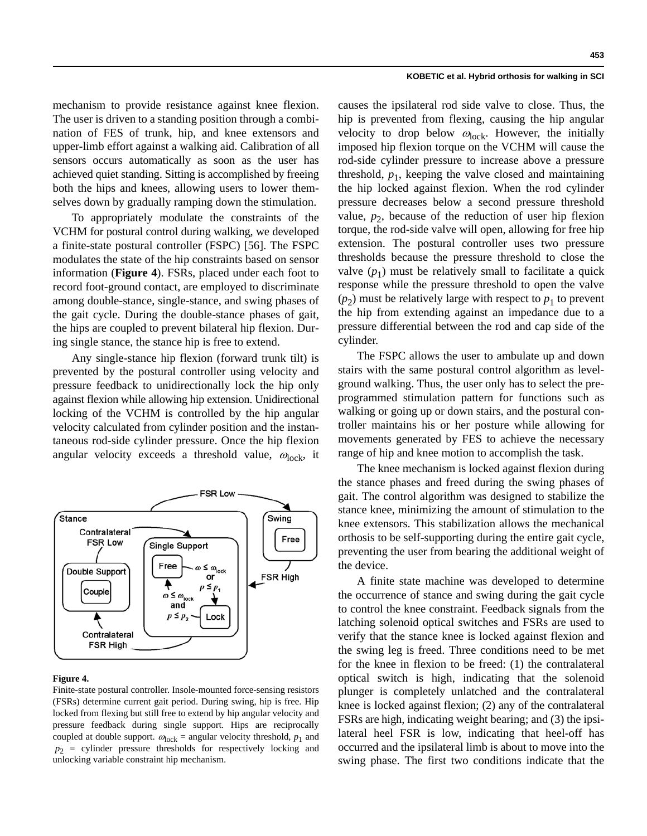mechanism to provide resistance against knee flexion. The user is driven to a standing position through a combination of FES of trunk, hip, and knee extensors and upper-limb effort against a walking aid. Calibration of all sensors occurs automatically as soon as the user has achieved quiet standing. Sitting is accomplished by freeing both the hips and knees, allowing users to lower themselves down by gradually ramping down the stimulation.

To appropriately modulate the constraints of the VCHM for postural control during walking, we developed a finite-state postural controller (FSPC) [56]. The FSPC modulates the state of the hip constraints based on sensor information (**Figure 4**). FSRs, placed under each foot to record foot-ground contact, are employed to discriminate among double-stance, single-stance, and swing phases of the gait cycle. During the double-stance phases of gait, the hips are coupled to prevent bilateral hip flexion. During single stance, the stance hip is free to extend.

Any single-stance hip flexion (forward trunk tilt) is prevented by the postural controller using velocity and pressure feedback to unidirectionally lock the hip only against flexion while allowing hip extension. Unidirectional locking of the VCHM is controlled by the hip angular velocity calculated from cylinder position and the instantaneous rod-side cylinder pressure. Once the hip flexion angular velocity exceeds a threshold value,  $\omega_{\text{lock}}$ , it



#### **Figure 4.**

Finite-state postural controller. Insole-mounted force-sensing resistors (FSRs) determine current gait period. During swing, hip is free. Hip locked from flexing but still free to extend by hip angular velocity and pressure feedback during single support. Hips are reciprocally coupled at double support.  $\omega_{\text{lock}}$  = angular velocity threshold,  $p_1$  and  $p_2$  = cylinder pressure thresholds for respectively locking and unlocking variable constraint hip mechanism.

causes the ipsilateral rod side valve to close. Thus, the hip is prevented from flexing, causing the hip angular velocity to drop below  $\omega_{\rm lock}$ . However, the initially imposed hip flexion torque on the VCHM will cause the rod-side cylinder pressure to increase above a pressure threshold,  $p_1$ , keeping the valve closed and maintaining the hip locked against flexion. When the rod cylinder pressure decreases below a second pressure threshold value,  $p<sub>2</sub>$ , because of the reduction of user hip flexion torque, the rod-side valve will open, allowing for free hip extension. The postural controller uses two pressure thresholds because the pressure threshold to close the valve  $(p_1)$  must be relatively small to facilitate a quick response while the pressure threshold to open the valve  $(p_2)$  must be relatively large with respect to  $p_1$  to prevent the hip from extending against an impedance due to a pressure differential between the rod and cap side of the cylinder.

The FSPC allows the user to ambulate up and down stairs with the same postural control algorithm as levelground walking. Thus, the user only has to select the preprogrammed stimulation pattern for functions such as walking or going up or down stairs, and the postural controller maintains his or her posture while allowing for movements generated by FES to achieve the necessary range of hip and knee motion to accomplish the task.

The knee mechanism is locked against flexion during the stance phases and freed during the swing phases of gait. The control algorithm was designed to stabilize the stance knee, minimizing the amount of stimulation to the knee extensors. This stabilization allows the mechanical orthosis to be self-supporting during the entire gait cycle, preventing the user from bearing the additional weight of the device.

A finite state machine was developed to determine the occurrence of stance and swing during the gait cycle to control the knee constraint. Feedback signals from the latching solenoid optical switches and FSRs are used to verify that the stance knee is locked against flexion and the swing leg is freed. Three conditions need to be met for the knee in flexion to be freed: (1) the contralateral optical switch is high, indicating that the solenoid plunger is completely unlatched and the contralateral knee is locked against flexion; (2) any of the contralateral FSRs are high, indicating weight bearing; and (3) the ipsilateral heel FSR is low, indicating that heel-off has occurred and the ipsilateral limb is about to move into the swing phase. The first two conditions indicate that the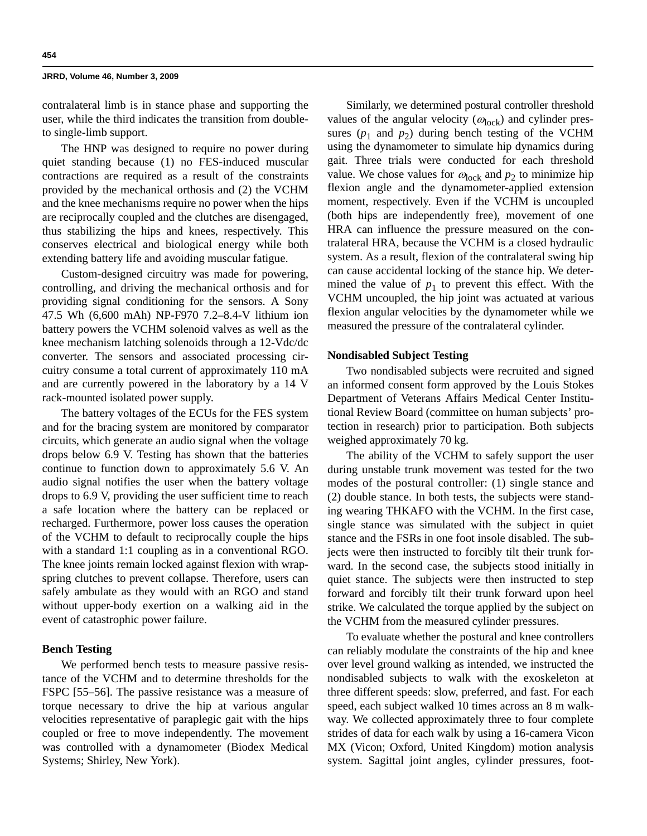contralateral limb is in stance phase and supporting the user, while the third indicates the transition from doubleto single-limb support.

The HNP was designed to require no power during quiet standing because (1) no FES-induced muscular contractions are required as a result of the constraints provided by the mechanical orthosis and (2) the VCHM and the knee mechanisms require no power when the hips are reciprocally coupled and the clutches are disengaged, thus stabilizing the hips and knees, respectively. This conserves electrical and biological energy while both extending battery life and avoiding muscular fatigue.

Custom-designed circuitry was made for powering, controlling, and driving the mechanical orthosis and for providing signal conditioning for the sensors. A Sony 47.5 Wh (6,600 mAh) NP-F970 7.2–8.4-V lithium ion battery powers the VCHM solenoid valves as well as the knee mechanism latching solenoids through a 12-Vdc/dc converter. The sensors and associated processing circuitry consume a total current of approximately 110 mA and are currently powered in the laboratory by a 14 V rack-mounted isolated power supply.

The battery voltages of the ECUs for the FES system and for the bracing system are monitored by comparator circuits, which generate an audio signal when the voltage drops below 6.9 V. Testing has shown that the batteries continue to function down to approximately 5.6 V. An audio signal notifies the user when the battery voltage drops to 6.9 V, providing the user sufficient time to reach a safe location where the battery can be replaced or recharged. Furthermore, power loss causes the operation of the VCHM to default to reciprocally couple the hips with a standard 1:1 coupling as in a conventional RGO. The knee joints remain locked against flexion with wrapspring clutches to prevent collapse. Therefore, users can safely ambulate as they would with an RGO and stand without upper-body exertion on a walking aid in the event of catastrophic power failure.

# **Bench Testing**

We performed bench tests to measure passive resistance of the VCHM and to determine thresholds for the FSPC [55–56]. The passive resistance was a measure of torque necessary to drive the hip at various angular velocities representative of paraplegic gait with the hips coupled or free to move independently. The movement was controlled with a dynamometer (Biodex Medical Systems; Shirley, New York).

Similarly, we determined postural controller threshold values of the angular velocity ( $\omega_{\text{lock}}$ ) and cylinder pressures  $(p_1$  and  $p_2)$  during bench testing of the VCHM using the dynamometer to simulate hip dynamics during gait. Three trials were conducted for each threshold value. We chose values for  $\omega_{\text{lock}}$  and  $p_2$  to minimize hip flexion angle and the dynamometer-applied extension moment, respectively. Even if the VCHM is uncoupled (both hips are independently free), movement of one HRA can influence the pressure measured on the contralateral HRA, because the VCHM is a closed hydraulic system. As a result, flexion of the contralateral swing hip can cause accidental locking of the stance hip. We determined the value of  $p_1$  to prevent this effect. With the VCHM uncoupled, the hip joint was actuated at various flexion angular velocities by the dynamometer while we measured the pressure of the contralateral cylinder.

# **Nondisabled Subject Testing**

Two nondisabled subjects were recruited and signed an informed consent form approved by the Louis Stokes Department of Veterans Affairs Medical Center Institutional Review Board (committee on human subjects' protection in research) prior to participation. Both subjects weighed approximately 70 kg.

The ability of the VCHM to safely support the user during unstable trunk movement was tested for the two modes of the postural controller: (1) single stance and (2) double stance. In both tests, the subjects were standing wearing THKAFO with the VCHM. In the first case, single stance was simulated with the subject in quiet stance and the FSRs in one foot insole disabled. The subjects were then instructed to forcibly tilt their trunk forward. In the second case, the subjects stood initially in quiet stance. The subjects were then instructed to step forward and forcibly tilt their trunk forward upon heel strike. We calculated the torque applied by the subject on the VCHM from the measured cylinder pressures.

To evaluate whether the postural and knee controllers can reliably modulate the constraints of the hip and knee over level ground walking as intended, we instructed the nondisabled subjects to walk with the exoskeleton at three different speeds: slow, preferred, and fast. For each speed, each subject walked 10 times across an 8 m walkway. We collected approximately three to four complete strides of data for each walk by using a 16-camera Vicon MX (Vicon; Oxford, United Kingdom) motion analysis system. Sagittal joint angles, cylinder pressures, foot-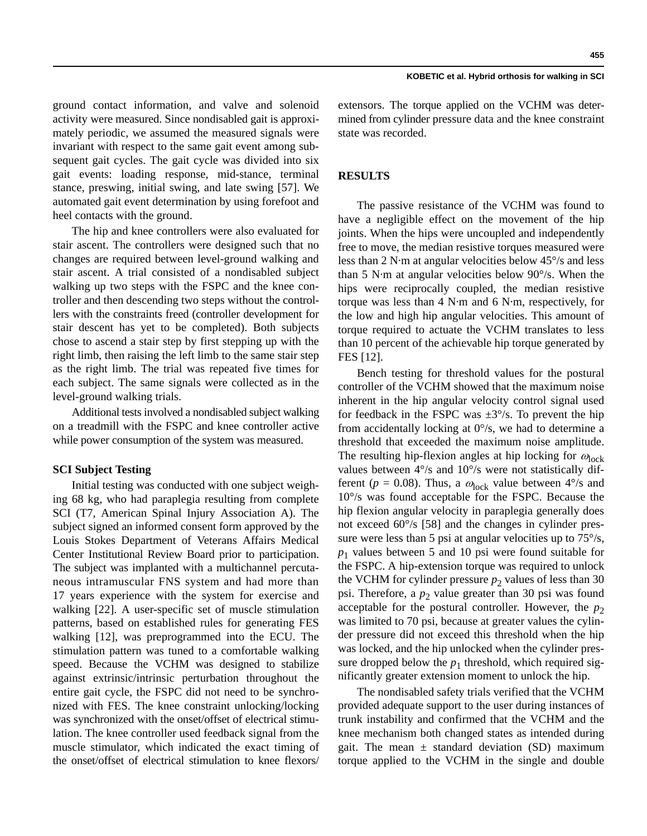ground contact information, and valve and solenoid activity were measured. Since nondisabled gait is approximately periodic, we assumed the measured signals were invariant with respect to the same gait event among subsequent gait cycles. The gait cycle was divided into six gait events: loading response, mid-stance, terminal stance, preswing, initial swing, and late swing [57]. We automated gait event determination by using forefoot and heel contacts with the ground.

The hip and knee controllers were also evaluated for stair ascent. The controllers were designed such that no changes are required between level-ground walking and stair ascent. A trial consisted of a nondisabled subject walking up two steps with the FSPC and the knee controller and then descending two steps without the controllers with the constraints freed (controller development for stair descent has yet to be completed). Both subjects chose to ascend a stair step by first stepping up with the right limb, then raising the left limb to the same stair step as the right limb. The trial was repeated five times for each subject. The same signals were collected as in the level-ground walking trials.

Additional tests involved a nondisabled subject walking on a treadmill with the FSPC and knee controller active while power consumption of the system was measured.

# **SCI Subject Testing**

Initial testing was conducted with one subject weighing 68 kg, who had paraplegia resulting from complete SCI (T7, American Spinal Injury Association A). The subject signed an informed consent form approved by the Louis Stokes Department of Veterans Affairs Medical Center Institutional Review Board prior to participation. The subject was implanted with a multichannel percutaneous intramuscular FNS system and had more than 17 years experience with the system for exercise and walking [22]. A user-specific set of muscle stimulation patterns, based on established rules for generating FES walking [12], was preprogrammed into the ECU. The stimulation pattern was tuned to a comfortable walking speed. Because the VCHM was designed to stabilize against extrinsic/intrinsic perturbation throughout the entire gait cycle, the FSPC did not need to be synchronized with FES. The knee constraint unlocking/locking was synchronized with the onset/offset of electrical stimulation. The knee controller used feedback signal from the muscle stimulator, which indicated the exact timing of the onset/offset of electrical stimulation to knee flexors/

**455**

extensors. The torque applied on the VCHM was determined from cylinder pressure data and the knee constraint state was recorded.

# **RESULTS**

The passive resistance of the VCHM was found to have a negligible effect on the movement of the hip joints. When the hips were uncoupled and independently free to move, the median resistive torques measured were less than 2 N·m at angular velocities below 45°/s and less than 5 N·m at angular velocities below 90°/s. When the hips were reciprocally coupled, the median resistive torque was less than 4 N·m and 6 N·m, respectively, for the low and high hip angular velocities. This amount of torque required to actuate the VCHM translates to less than 10 percent of the achievable hip torque generated by FES [12].

Bench testing for threshold values for the postural controller of the VCHM showed that the maximum noise inherent in the hip angular velocity control signal used for feedback in the FSPC was  $\pm 3^{\circ}/s$ . To prevent the hip from accidentally locking at  $0^{\circ}/s$ , we had to determine a threshold that exceeded the maximum noise amplitude. The resulting hip-flexion angles at hip locking for  $\omega_{\rm lock}$ values between 4°/s and 10°/s were not statistically different ( $p = 0.08$ ). Thus, a  $\omega_{\text{lock}}$  value between  $4^{\circ}/s$  and 10°/s was found acceptable for the FSPC. Because the hip flexion angular velocity in paraplegia generally does not exceed 60°/s [58] and the changes in cylinder pressure were less than 5 psi at angular velocities up to 75 $\degree$ /s,  $p_1$  values between 5 and 10 psi were found suitable for the FSPC. A hip-extension torque was required to unlock the VCHM for cylinder pressure  $p_2$  values of less than 30 psi. Therefore, a  $p_2$  value greater than 30 psi was found acceptable for the postural controller. However, the  $p_2$ was limited to 70 psi, because at greater values the cylinder pressure did not exceed this threshold when the hip was locked, and the hip unlocked when the cylinder pressure dropped below the  $p_1$  threshold, which required significantly greater extension moment to unlock the hip.

The nondisabled safety trials verified that the VCHM provided adequate support to the user during instances of trunk instability and confirmed that the VCHM and the knee mechanism both changed states as intended during gait. The mean  $\pm$  standard deviation (SD) maximum torque applied to the VCHM in the single and double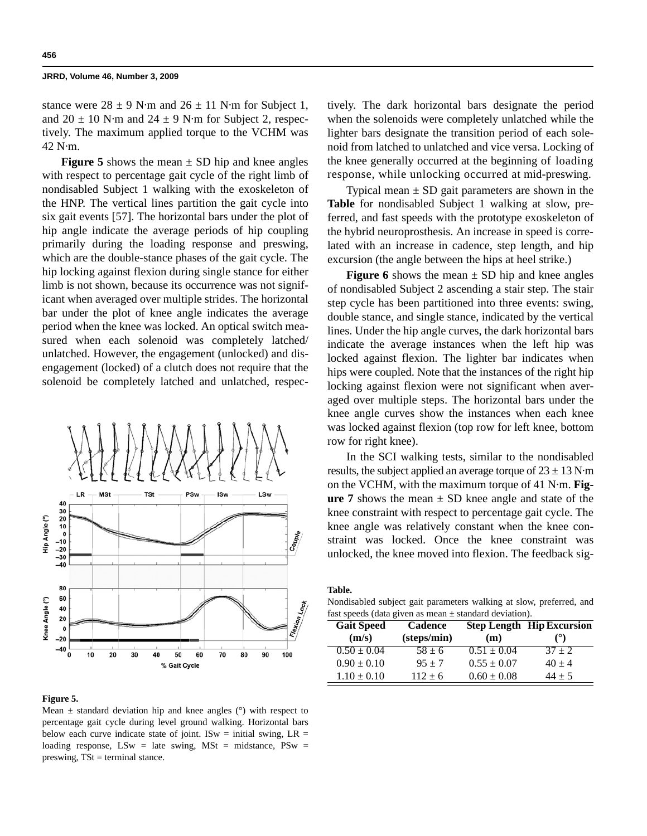stance were  $28 \pm 9$  N·m and  $26 \pm 11$  N·m for Subject 1, and  $20 \pm 10$  N·m and  $24 \pm 9$  N·m for Subject 2, respectively. The maximum applied torque to the VCHM was 42 N·m.

**Figure 5** shows the mean  $\pm$  SD hip and knee angles with respect to percentage gait cycle of the right limb of nondisabled Subject 1 walking with the exoskeleton of the HNP. The vertical lines partition the gait cycle into six gait events [57]. The horizontal bars under the plot of hip angle indicate the average periods of hip coupling primarily during the loading response and preswing, which are the double-stance phases of the gait cycle. The hip locking against flexion during single stance for either limb is not shown, because its occurrence was not significant when averaged over multiple strides. The horizontal bar under the plot of knee angle indicates the average period when the knee was locked. An optical switch measured when each solenoid was completely latched/ unlatched. However, the engagement (unlocked) and disengagement (locked) of a clutch does not require that the solenoid be completely latched and unlatched, respec-



#### **Figure 5.**

Mean  $\pm$  standard deviation hip and knee angles ( $\degree$ ) with respect to percentage gait cycle during level ground walking. Horizontal bars below each curve indicate state of joint. ISw = initial swing,  $LR =$ loading response, LSw = late swing, MSt = midstance, PSw = preswing,  $TSt = terminal$  stance.

tively. The dark horizontal bars designate the period when the solenoids were completely unlatched while the lighter bars designate the transition period of each solenoid from latched to unlatched and vice versa. Locking of the knee generally occurred at the beginning of loading response, while unlocking occurred at mid-preswing.

Typical mean  $\pm$  SD gait parameters are shown in the **Table** for nondisabled Subject 1 walking at slow, preferred, and fast speeds with the prototype exoskeleton of the hybrid neuroprosthesis. An increase in speed is correlated with an increase in cadence, step length, and hip excursion (the angle between the hips at heel strike.)

**Figure 6** shows the mean  $\pm$  SD hip and knee angles of nondisabled Subject 2 ascending a stair step. The stair step cycle has been partitioned into three events: swing, double stance, and single stance, indicated by the vertical lines. Under the hip angle curves, the dark horizontal bars indicate the average instances when the left hip was locked against flexion. The lighter bar indicates when hips were coupled. Note that the instances of the right hip locking against flexion were not significant when averaged over multiple steps. The horizontal bars under the knee angle curves show the instances when each knee was locked against flexion (top row for left knee, bottom row for right knee).

In the SCI walking tests, similar to the nondisabled results, the subject applied an average torque of  $23 \pm 13$  N·m on the VCHM, with the maximum torque of 41 N·m. **Figure 7** shows the mean  $\pm$  SD knee angle and state of the knee constraint with respect to percentage gait cycle. The knee angle was relatively constant when the knee constraint was locked. Once the knee constraint was unlocked, the knee moved into flexion. The feedback sig-

**Table.**

Nondisabled subject gait parameters walking at slow, preferred, and fast speeds (data given as mean  $\pm$  standard deviation).

| <b>Gait Speed</b> | <b>Cadence</b> |                 | <b>Step Length Hip Excursion</b> |
|-------------------|----------------|-----------------|----------------------------------|
| (m/s)             | (steps/min)    | (m)             | (°)                              |
| $0.50 \pm 0.04$   | $58 \pm 6$     | $0.51 \pm 0.04$ | $37 + 2$                         |
| $0.90 \pm 0.10$   | $95 + 7$       | $0.55 \pm 0.07$ | $40 \pm 4$                       |
| $1.10 \pm 0.10$   | $112 \pm 6$    | $0.60 \pm 0.08$ | $44 \pm 5$                       |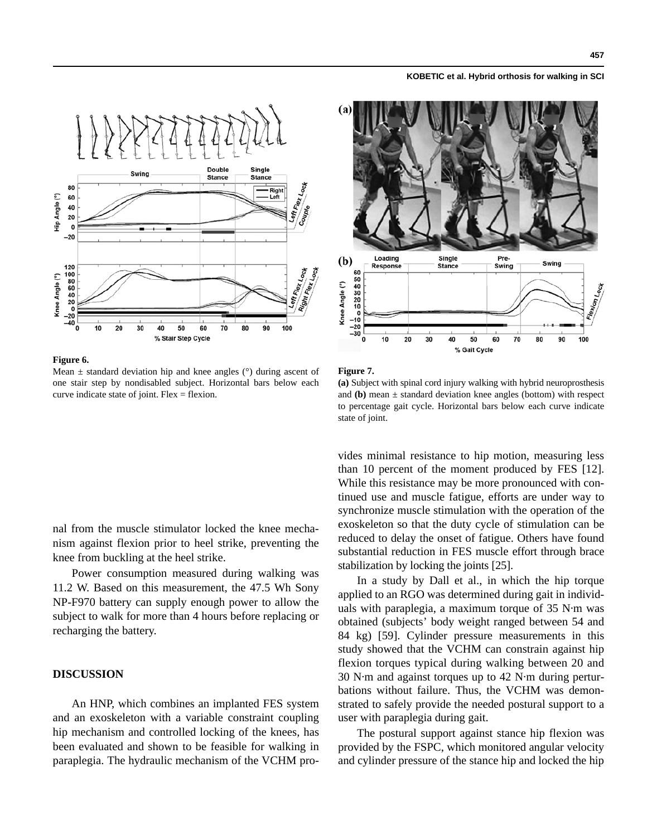

# **Figure 6.**

Mean  $\pm$  standard deviation hip and knee angles ( $\degree$ ) during ascent of one stair step by nondisabled subject. Horizontal bars below each curve indicate state of joint. Flex  $=$  flexion.

nal from the muscle stimulator locked the knee mechanism against flexion prior to heel strike, preventing the knee from buckling at the heel strike.

Power consumption measured during walking was 11.2 W. Based on this measurement, the 47.5 Wh Sony NP-F970 battery can supply enough power to allow the subject to walk for more than 4 hours before replacing or recharging the battery.

# **DISCUSSION**

An HNP, which combines an implanted FES system and an exoskeleton with a variable constraint coupling hip mechanism and controlled locking of the knees, has been evaluated and shown to be feasible for walking in paraplegia. The hydraulic mechanism of the VCHM pro-



# **Figure 7.**

**(a)** Subject with spinal cord injury walking with hybrid neuroprosthesis and **(b)** mean  $\pm$  standard deviation knee angles (bottom) with respect to percentage gait cycle. Horizontal bars below each curve indicate state of joint.

vides minimal resistance to hip motion, measuring less than 10 percent of the moment produced by FES [12]. While this resistance may be more pronounced with continued use and muscle fatigue, efforts are under way to synchronize muscle stimulation with the operation of the exoskeleton so that the duty cycle of stimulation can be reduced to delay the onset of fatigue. Others have found substantial reduction in FES muscle effort through brace stabilization by locking the joints [25].

In a study by Dall et al., in which the hip torque applied to an RGO was determined during gait in individuals with paraplegia, a maximum torque of 35 N·m was obtained (subjects' body weight ranged between 54 and 84 kg) [59]. Cylinder pressure measurements in this study showed that the VCHM can constrain against hip flexion torques typical during walking between 20 and 30 N·m and against torques up to 42 N·m during perturbations without failure. Thus, the VCHM was demonstrated to safely provide the needed postural support to a user with paraplegia during gait.

The postural support against stance hip flexion was provided by the FSPC, which monitored angular velocity and cylinder pressure of the stance hip and locked the hip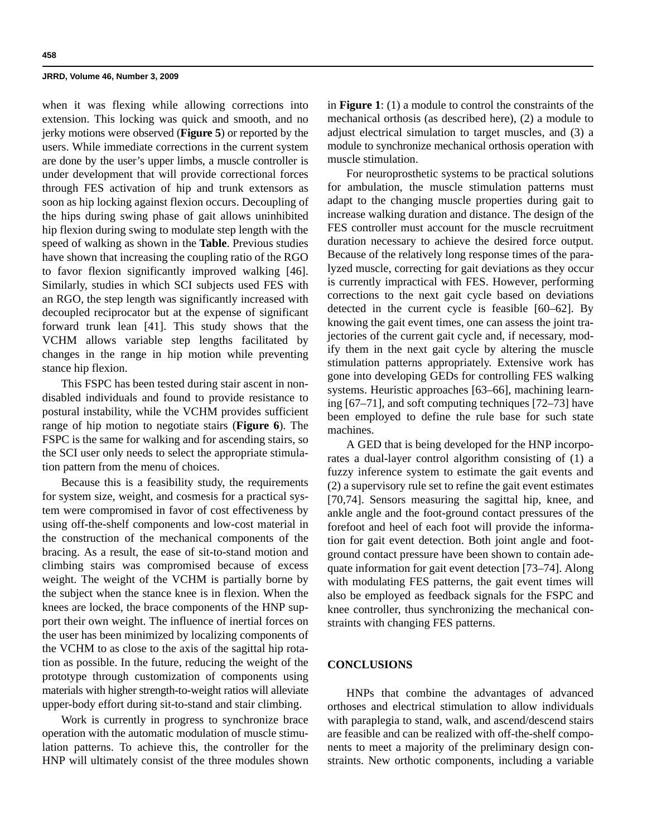when it was flexing while allowing corrections into extension. This locking was quick and smooth, and no jerky motions were observed (**Figure 5**) or reported by the users. While immediate corrections in the current system are done by the user's upper limbs, a muscle controller is under development that will provide correctional forces through FES activation of hip and trunk extensors as soon as hip locking against flexion occurs. Decoupling of the hips during swing phase of gait allows uninhibited hip flexion during swing to modulate step length with the speed of walking as shown in the **Table**. Previous studies have shown that increasing the coupling ratio of the RGO to favor flexion significantly improved walking [46]. Similarly, studies in which SCI subjects used FES with an RGO, the step length was significantly increased with decoupled reciprocator but at the expense of significant forward trunk lean [41]. This study shows that the VCHM allows variable step lengths facilitated by changes in the range in hip motion while preventing stance hip flexion.

This FSPC has been tested during stair ascent in nondisabled individuals and found to provide resistance to postural instability, while the VCHM provides sufficient range of hip motion to negotiate stairs (**Figure 6**). The FSPC is the same for walking and for ascending stairs, so the SCI user only needs to select the appropriate stimulation pattern from the menu of choices.

Because this is a feasibility study, the requirements for system size, weight, and cosmesis for a practical system were compromised in favor of cost effectiveness by using off-the-shelf components and low-cost material in the construction of the mechanical components of the bracing. As a result, the ease of sit-to-stand motion and climbing stairs was compromised because of excess weight. The weight of the VCHM is partially borne by the subject when the stance knee is in flexion. When the knees are locked, the brace components of the HNP support their own weight. The influence of inertial forces on the user has been minimized by localizing components of the VCHM to as close to the axis of the sagittal hip rotation as possible. In the future, reducing the weight of the prototype through customization of components using materials with higher strength-to-weight ratios will alleviate upper-body effort during sit-to-stand and stair climbing.

Work is currently in progress to synchronize brace operation with the automatic modulation of muscle stimulation patterns. To achieve this, the controller for the HNP will ultimately consist of the three modules shown in **Figure 1**: (1) a module to control the constraints of the mechanical orthosis (as described here), (2) a module to adjust electrical simulation to target muscles, and (3) a module to synchronize mechanical orthosis operation with muscle stimulation.

For neuroprosthetic systems to be practical solutions for ambulation, the muscle stimulation patterns must adapt to the changing muscle properties during gait to increase walking duration and distance. The design of the FES controller must account for the muscle recruitment duration necessary to achieve the desired force output. Because of the relatively long response times of the paralyzed muscle, correcting for gait deviations as they occur is currently impractical with FES. However, performing corrections to the next gait cycle based on deviations detected in the current cycle is feasible [60–62]. By knowing the gait event times, one can assess the joint trajectories of the current gait cycle and, if necessary, modify them in the next gait cycle by altering the muscle stimulation patterns appropriately. Extensive work has gone into developing GEDs for controlling FES walking systems. Heuristic approaches [63–66], machining learning [67–71], and soft computing techniques [72–73] have been employed to define the rule base for such state machines.

A GED that is being developed for the HNP incorporates a dual-layer control algorithm consisting of (1) a fuzzy inference system to estimate the gait events and (2) a supervisory rule set to refine the gait event estimates [70,74]. Sensors measuring the sagittal hip, knee, and ankle angle and the foot-ground contact pressures of the forefoot and heel of each foot will provide the information for gait event detection. Both joint angle and footground contact pressure have been shown to contain adequate information for gait event detection [73–74]. Along with modulating FES patterns, the gait event times will also be employed as feedback signals for the FSPC and knee controller, thus synchronizing the mechanical constraints with changing FES patterns.

# **CONCLUSIONS**

HNPs that combine the advantages of advanced orthoses and electrical stimulation to allow individuals with paraplegia to stand, walk, and ascend/descend stairs are feasible and can be realized with off-the-shelf components to meet a majority of the preliminary design constraints. New orthotic components, including a variable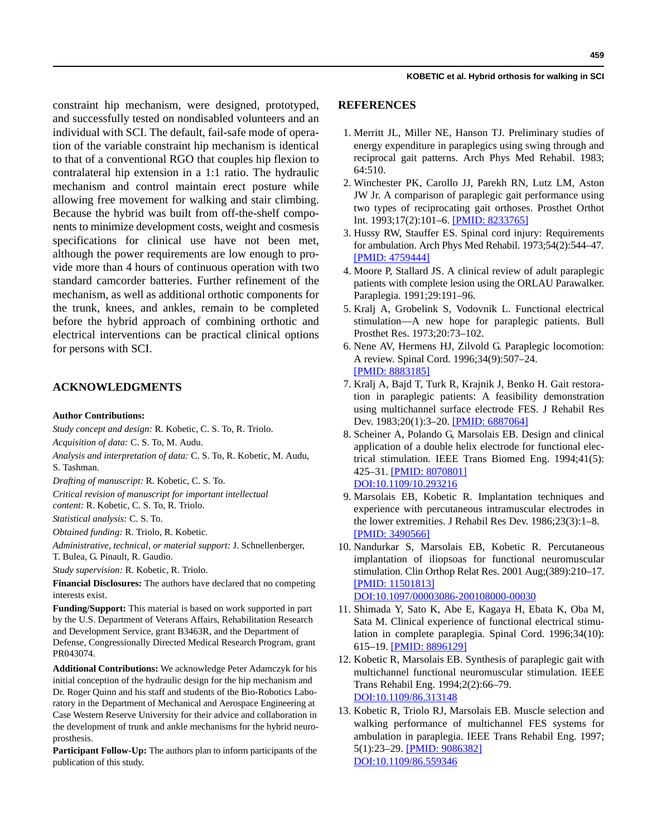constraint hip mechanism, were designed, prototyped, and successfully tested on nondisabled volunteers and an individual with SCI. The default, fail-safe mode of operation of the variable constraint hip mechanism is identical to that of a conventional RGO that couples hip flexion to contralateral hip extension in a 1:1 ratio. The hydraulic mechanism and control maintain erect posture while allowing free movement for walking and stair climbing. Because the hybrid was built from off-the-shelf components to minimize development costs, weight and cosmesis specifications for clinical use have not been met, although the power requirements are low enough to provide more than 4 hours of continuous operation with two standard camcorder batteries. Further refinement of the mechanism, as well as additional orthotic components for the trunk, knees, and ankles, remain to be completed before the hybrid approach of combining orthotic and electrical interventions can be practical clinical options for persons with SCI.

# **ACKNOWLEDGMENTS**

#### **Author Contributions:**

*Study concept and design:* R. Kobetic, C. S. To, R. Triolo.

*Acquisition of data:* C. S. To, M. Audu.

*Analysis and interpretation of data:* C. S. To, R. Kobetic, M. Audu, S. Tashman.

*Drafting of manuscript:* R. Kobetic, C. S. To.

*Critical revision of manuscript for important intellectual content:* R. Kobetic, C. S. To, R. Triolo.

*Statistical analysis:* C. S. To.

*Obtained funding:* R. Triolo, R. Kobetic.

*Administrative, technical, or material support:* J. Schnellenberger, T. Bulea, G. Pinault, R. Gaudio.

*Study supervision:* R. Kobetic, R. Triolo.

**Financial Disclosures:** The authors have declared that no competing interests exist.

**Funding/Support:** This material is based on work supported in part by the U.S. Department of Veterans Affairs, Rehabilitation Research and Development Service, grant B3463R, and the Department of Defense, Congressionally Directed Medical Research Program, grant PR043074.

**Additional Contributions:** We acknowledge Peter Adamczyk for his initial conception of the hydraulic design for the hip mechanism and Dr. Roger Quinn and his staff and students of the Bio-Robotics Laboratory in the Department of Mechanical and Aerospace Engineering at Case Western Reserve University for their advice and collaboration in the development of trunk and ankle mechanisms for the hybrid neuroprosthesis.

**Participant Follow-Up:** The authors plan to inform participants of the publication of this study.

# **REFERENCES**

- 1. Merritt JL, Miller NE, Hanson TJ. Preliminary studies of energy expenditure in paraplegics using swing through and reciprocal gait patterns. Arch Phys Med Rehabil. 1983; 64:510.
- 2. Winchester PK, Carollo JJ, Parekh RN, Lutz LM, Aston JW Jr. A comparison of paraplegic gait performance using two types of reciprocating gait orthoses. Prosthet Orthot Int. 1993;17(2):101–6. [\[PMID: 8233765\]](http://www.ncbi.nlm.nih.gov/pubmed/8233765)
- 3. Hussy RW, Stauffer ES. Spinal cord injury: Requirements for ambulation. Arch Phys Med Rehabil. 1973;54(2):544–47. [\[PMID: 4759444\]](http://www.ncbi.nlm.nih.gov/pubmed/4759444)
- 4. Moore P, Stallard JS. A clinical review of adult paraplegic patients with complete lesion using the ORLAU Parawalker. Paraplegia. 1991;29:191–96.
- 5. Kralj A, Grobelink S, Vodovnik L. Functional electrical stimulation—A new hope for paraplegic patients. Bull Prosthet Res. 1973;20:73–102.
- 6. Nene AV, Hermens HJ, Zilvold G. Paraplegic locomotion: A review. Spinal Cord. 1996;34(9):507–24. [\[PMID: 8883185\]](http://www.ncbi.nlm.nih.gov/pubmed/8883185)
- 7. Kralj A, Bajd T, Turk R, Krajnik J, Benko H. Gait restoration in paraplegic patients: A feasibility demonstration using multichannel surface electrode FES. J Rehabil Res Dev. 1983;20(1):3-20. [\[PMID: 6887064\]](http://www.ncbi.nlm.nih.gov/pubmed/6887064)
- 8. Scheiner A, Polando G, Marsolais EB. Design and clinical application of a double helix electrode for functional electrical stimulation. IEEE Trans Biomed Eng. 1994;41(5): 425–31. [\[PMID: 8070801\]](http://www.ncbi.nlm.nih.gov/pubmed/8070801) [DOI:10.1109/10.293216](http://dx.doi.org/10.1109/10.293216)
- 9. Marsolais EB, Kobetic R. Implantation techniques and experience with percutaneous intramuscular electrodes in the lower extremities. J Rehabil Res Dev. 1986;23(3):1–8. [\[PMID: 3490566\]](http://www.ncbi.nlm.nih.gov/pubmed/3490566)
- 10. Nandurkar S, Marsolais EB, Kobetic R. Percutaneous implantation of iliopsoas for functional neuromuscular stimulation. Clin Orthop Relat Res. 2001 Aug;(389):210–17. [\[PMID: 11501813\]](http://www.ncbi.nlm.nih.gov/pubmed/11501813) [DOI:10.1097/00003086-200108000-00030](http://dx.doi.org/10.1097/00003086-200108000-00030)
- 11. Shimada Y, Sato K, Abe E, Kagaya H, Ebata K, Oba M, Sata M. Clinical experience of functional electrical stimulation in complete paraplegia. Spinal Cord. 1996;34(10): 615–19. [\[PMID: 8896129\]](http://www.ncbi.nlm.nih.gov/pubmed/8896129)
- 12. Kobetic R, Marsolais EB. Synthesis of paraplegic gait with multichannel functional neuromuscular stimulation. IEEE Trans Rehabil Eng. 1994;2(2):66–79. [DOI:10.1109/86.313148](http://dx.doi.org/10.1109/86.313148)
- 13. Kobetic R, Triolo RJ, Marsolais EB. Muscle selection and walking performance of multichannel FES systems for ambulation in paraplegia. IEEE Trans Rehabil Eng. 1997; 5(1):23–29. [\[PMID: 9086382\]](http://www.ncbi.nlm.nih.gov/pubmed/9086382) [DOI:10.1109/86.559346](http://dx.doi.org/10.1109/86.559346)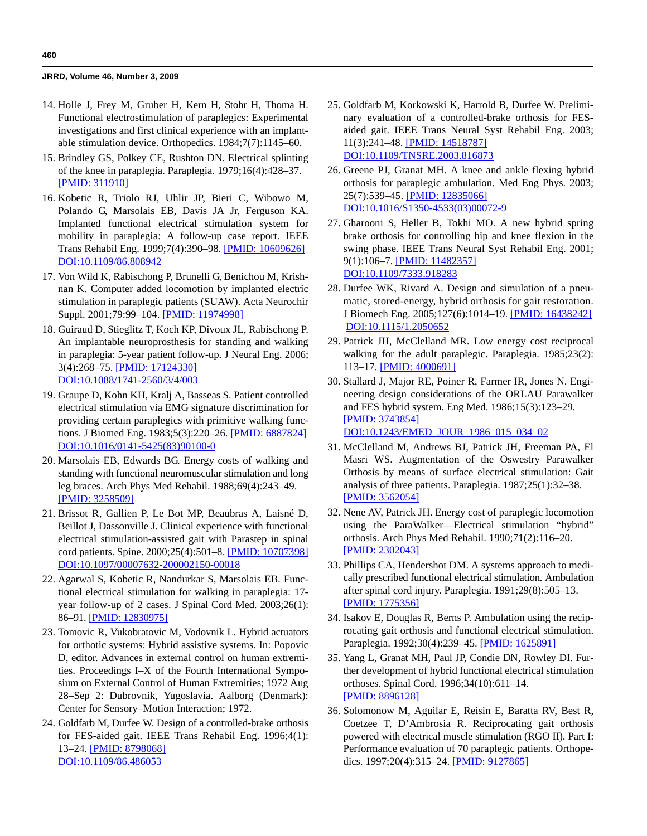- 14. Holle J, Frey M, Gruber H, Kern H, Stohr H, Thoma H. Functional electrostimulation of paraplegics: Experimental investigations and first clinical experience with an implantable stimulation device. Orthopedics. 1984;7(7):1145–60.
- 15. Brindley GS, Polkey CE, Rushton DN. Electrical splinting of the knee in paraplegia. Paraplegia. 1979;16(4):428–37. [\[PMID: 311910\]](http://www.ncbi.nlm.nih.gov/pubmed/311910)
- 16. Kobetic R, Triolo RJ, Uhlir JP, Bieri C, Wibowo M, Polando G, Marsolais EB, Davis JA Jr, Ferguson KA. Implanted functional electrical stimulation system for mobility in paraplegia: A follow-up case report. IEEE Trans Rehabil Eng. 1999;7(4):390–98. [\[PMID: 10609626\]](http://www.ncbi.nlm.nih.gov/pubmed/10609626) [DOI:10.1109/86.808942](http://dx.doi.org/10.1109/86.808942)
- 17. Von Wild K, Rabischong P, Brunelli G, Benichou M, Krishnan K. Computer added locomotion by implanted electric stimulation in paraplegic patients (SUAW). Acta Neurochir Suppl. 2001;79:99–104. [\[PMID: 11974998\]](http://www.ncbi.nlm.nih.gov/pubmed/11974998)
- 18. Guiraud D, Stieglitz T, Koch KP, Divoux JL, Rabischong P. An implantable neuroprosthesis for standing and walking in paraplegia: 5-year patient follow-up. J Neural Eng. 2006; 3(4):268–75. [\[PMID: 17124330\]](http://www.ncbi.nlm.nih.gov/pubmed/17124330) [D](http://www.ncbi.nlm.nih.gov/pubmed/17124330)[OI:10.1088/1741-2560/3/4/003](http://dx.doi.org/10.1088/1741-2560/3/4/003)
- 19. Graupe D, Kohn KH, Kralj A, Basseas S. Patient controlled electrical stimulation via EMG signature discrimination for providing certain paraplegics with primitive walking functions. J Biomed Eng. 1983;5(3):220–26. [\[PMID: 6887824\]](http://www.ncbi.nlm.nih.gov/pubmed/6887824) [DOI:10.1016/0141-5425\(83\)90100-0](http://dx.doi.org/10.1016/0141-5425%2883%2990100-0)
- 20. Marsolais EB, Edwards BG. Energy costs of walking and standing with functional neuromuscular stimulation and long leg braces. Arch Phys Med Rehabil. 1988;69(4):243–49. [\[PMID: 3258509\]](http://www.ncbi.nlm.nih.gov/pubmed/3258509)
- 21. Brissot R, Gallien P, Le Bot MP, Beaubras A, Laisné D, Beillot J, Dassonville J. Clinical experience with functional electrical stimulation-assisted gait with Parastep in spinal cord patients. Spine. 2000;25(4):501–8. [\[PMID: 10707398\]](http://www.ncbi.nlm.nih.gov/pubmed/10707398) [DOI:10.1097/00007632-200002150-00018](http://dx.doi.org/10.1097/00007632-200002150-00018)
- 22. Agarwal S, Kobetic R, Nandurkar S, Marsolais EB. Functional electrical stimulation for walking in paraplegia: 17 year follow-up of 2 cases. J Spinal Cord Med. 2003;26(1): 86–91. [\[PMID: 12830975\]](http://www.ncbi.nlm.nih.gov/pubmed/12830975)
- 23. Tomovic R, Vukobratovic M, Vodovnik L. Hybrid actuators for orthotic systems: Hybrid assistive systems. In: Popovic D, editor. Advances in external control on human extremities. Proceedings I–X of the Fourth International Symposium on External Control of Human Extremities; 1972 Aug 28–Sep 2: Dubrovnik, Yugoslavia. Aalborg (Denmark): Center for Sensory–Motion Interaction; 1972.
- 24. Goldfarb M, Durfee W. Design of a controlled-brake orthosis for FES-aided gait. IEEE Trans Rehabil Eng. 1996;4(1): 13–24. [\[PMID: 8798068\]](http://dx.doi.org/10.1109/86.486053) [DOI:10.1109/86.486053](http://dx.doi.org/10.1109/86.486053)
- 25. Goldfarb M, Korkowski K, Harrold B, Durfee W. Preliminary evaluation of a controlled-brake orthosis for FESaided gait. IEEE Trans Neural Syst Rehabil Eng. 2003; 11(3):241–48. [\[PMID: 14518787\]](http://www.ncbi.nlm.nih.gov/pubmed/14518787) [DOI:10.1109/TNSRE.2003.816873](http://dx.doi.org/10.1109/TNSRE.2003.816873)
- 26. Greene PJ, Granat MH. A knee and ankle flexing hybrid orthosis for paraplegic ambulation. Med Eng Phys. 2003; 25(7):539–45. [\[PMID: 12835066\]](http://dx.doi.org/10.1016/S1350-4533%2803%2900072-9) DOI:10.1016/S1350-4533(03)00072-9
- 27. Gharooni S, Heller B, Tokhi MO. A new hybrid spring brake orthosis for controlling hip and knee flexion in the swing phase. IEEE Trans Neural Syst Rehabil Eng. 2001; 9(1):106–7[. \[PMID: 11482357\]](http://www.ncbi.nlm.nih.gov/pubmed/11482357) [DOI:10.1109/7333.918283](http://dx.doi.org/10.1109/7333.918283)
- 28. Durfee WK, Rivard A. Design and simulation of a pneumatic, stored-energy, hybrid orthosis for gait restoration. J Biomech Eng. 2005;127(6):1014–19. [\[PMID: 16438242\]](http://dx.doi.org/10.1115/1.2050652) DOI:10.1115/1.2050652
- 29. Patrick JH, McClelland MR. Low energy cost reciprocal walking for the adult paraplegic. Paraplegia. 1985;23(2): 113–17. [\[PMID: 4000691\]](http://www.ncbi.nlm.nih.gov/pubmed/4000691)
- 30. Stallard J, Major RE, Poiner R, Farmer IR, Jones N. Engineering design considerations of the ORLAU Parawalker and FES hybrid system. Eng Med. 1986;15(3):123–29. [\[PMID: 3743854\]](http://www.ncbi.nlm.nih.gov/pubmed/3743854) [DOI:10.1243/EMED\\_JOUR\\_1986\\_015\\_034\\_02](http://dx.doi.org/10.1243/EMED_JOUR_1986_015_034_02)
- 31. McClelland M, Andrews BJ, Patrick JH, Freeman PA, El Masri WS. Augmentation of the Oswestry Parawalker Orthosis by means of surface electrical stimulation: Gait analysis of three patients. Paraplegia. 1987;25(1):32–38. [\[PMID: 3562054\]](http://www.ncbi.nlm.nih.gov/pubmed/3562054)
- 32. Nene AV, Patrick JH. Energy cost of paraplegic locomotion using the ParaWalker—Electrical stimulation "hybrid" orthosis. Arch Phys Med Rehabil. 1990;71(2):116–20. [\[PMID: 2302043\]](http://www.ncbi.nlm.nih.gov/pubmed/2302043)
- 33. Phillips CA, Hendershot DM. A systems approach to medically prescribed functional electrical stimulation. Ambulation after spinal cord injury. Paraplegia. 1991;29(8):505–13. [\[PMID: 1775356\]](http://www.ncbi.nlm.nih.gov/pubmed/1775356)
- 34. Isakov E, Douglas R, Berns P. Ambulation using the reciprocating gait orthosis and functional electrical stimulation. Paraplegia. 1992;30(4):239–45. [\[PMID: 1625891\]](http://www.ncbi.nlm.nih.gov/pubmed/1625891)
- 35. Yang L, Granat MH, Paul JP, Condie DN, Rowley DI. Further development of hybrid functional electrical stimulation orthoses. Spinal Cord. 1996;34(10):611–14. [\[PMID: 8896128\]](http://www.ncbi.nlm.nih.gov/pubmed/8896128)
- 36. Solomonow M, Aguilar E, Reisin E, Baratta RV, Best R, Coetzee T, D'Ambrosia R. Reciprocating gait orthosis powered with electrical muscle stimulation (RGO II). Part I: Performance evaluation of 70 paraplegic patients. Orthopedics. 1997;20(4):315–24. [\[PMID: 9127865\]](http://www.ncbi.nlm.nih.gov/pubmed/9127865)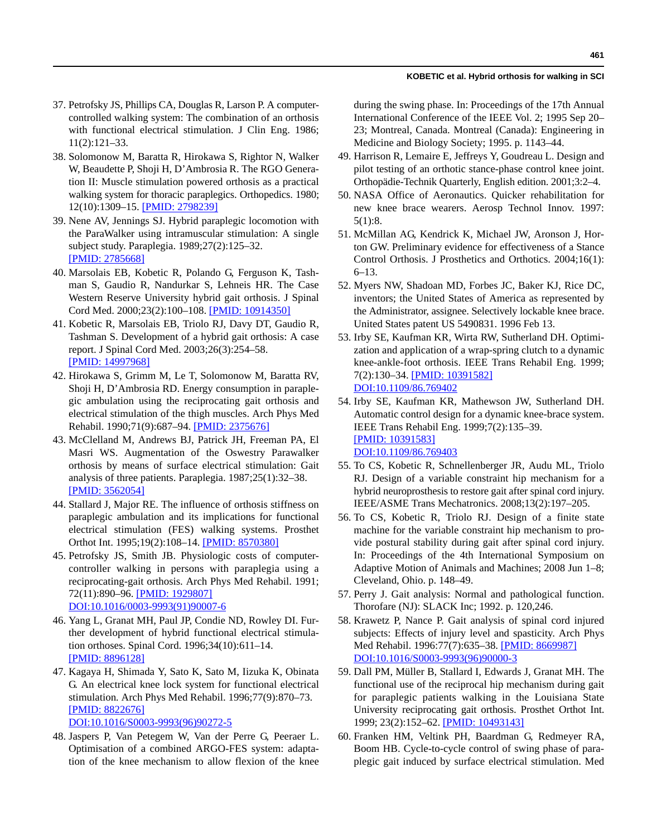- 37. Petrofsky JS, Phillips CA, Douglas R, Larson P. A computercontrolled walking system: The combination of an orthosis with functional electrical stimulation. J Clin Eng. 1986; 11(2):121–33.
- 38. Solomonow M, Baratta R, Hirokawa S, Rightor N, Walker W, Beaudette P, Shoji H, D'Ambrosia R. The RGO Generation II: Muscle stimulation powered orthosis as a practical walking system for thoracic paraplegics. Orthopedics. 1980; 12(10):1309–15. [\[PMID: 2798239\]](http://www.ncbi.nlm.nih.gov/pubmed/2798239)
- 39. Nene AV, Jennings SJ. Hybrid paraplegic locomotion with the ParaWalker using intramuscular stimulation: A single subject study. Paraplegia. 1989;27(2):125–32. [\[PMID: 2785668\]](http://www.ncbi.nlm.nih.gov/pubmed/2785668)
- 40. Marsolais EB, Kobetic R, Polando G, Ferguson K, Tashman S, Gaudio R, Nandurkar S, Lehneis HR. The Case Western Reserve University hybrid gait orthosis. J Spinal Cord Med. 2000;23(2):100–108. [\[PMID: 10914350\]](http://www.ncbi.nlm.nih.gov/pubmed/10914350)
- 41. Kobetic R, Marsolais EB, Triolo RJ, Davy DT, Gaudio R, Tashman S. Development of a hybrid gait orthosis: A case report. J Spinal Cord Med. 2003;26(3):254–58. [\[PMID: 14997968\]](http://www.ncbi.nlm.nih.gov/pubmed/14997968)
- 42. Hirokawa S, Grimm M, Le T, Solomonow M, Baratta RV, Shoji H, D'Ambrosia RD. Energy consumption in paraplegic ambulation using the reciprocating gait orthosis and electrical stimulation of the thigh muscles. Arch Phys Med Rehabil. 1990;71(9):687–94. [\[PMID: 2375676\]](http://www.ncbi.nlm.nih.gov/pubmed/2375676)
- 43. McClelland M, Andrews BJ, Patrick JH, Freeman PA, El Masri WS. Augmentation of the Oswestry Parawalker orthosis by means of surface electrical stimulation: Gait analysis of three patients. Paraplegia. 1987;25(1):32–38. [\[PMID: 3562054\]](http://www.ncbi.nlm.nih.gov/pubmed/3562054)
- 44. Stallard J, Major RE. The influence of orthosis stiffness on paraplegic ambulation and its implications for functional electrical stimulation (FES) walking systems. Prosthet Orthot Int. 1995;19(2):108–14. [\[PMID: 8570380\]](http://www.ncbi.nlm.nih.gov/pubmed/8570380)
- 45. Petrofsky JS, Smith JB. Physiologic costs of computercontroller walking in persons with paraplegia using a reciprocating-gait orthosis. Arch Phys Med Rehabil. 1991; 72(11):890–96. [\[PMID: 1929807\]](http://www.ncbi.nlm.nih.gov/pubmed/1929807) [DOI:10.1016/0003-9993\(91\)90007-6](http://dx.doi.org/10.1016/0003-9993%2891%2990007-6)
- 46. Yang L, Granat MH, Paul JP, Condie ND, Rowley DI. Further development of hybrid functional electrical stimulation orthoses. Spinal Cord. 1996;34(10):611–14. [\[PMID: 8896128\]](http://www.ncbi.nlm.nih.gov/pubmed/8896128)
- 47. Kagaya H, Shimada Y, Sato K, Sato M, Iizuka K, Obinata G. An electrical knee lock system for functional electrical stimulation*.* Arch Phys Med Rehabil. 1996;77(9):870–73. [\[PMID: 8822676\]](http://www.ncbi.nlm.nih.gov/pubmed/8822676)

[DOI:10.1016/S0003-9993\(96\)90272-5](http://dx.doi.org/10.1016/S0003-9993%2896%2990272-5)

48. Jaspers P, Van Petegem W, Van der Perre G, Peeraer L. Optimisation of a combined ARGO-FES system: adaptation of the knee mechanism to allow flexion of the knee during the swing phase. In: Proceedings of the 17th Annual International Conference of the IEEE Vol. 2; 1995 Sep 20– 23; Montreal, Canada. Montreal (Canada): Engineering in Medicine and Biology Society; 1995. p. 1143–44.

- 49. Harrison R, Lemaire E, Jeffreys Y, Goudreau L. Design and pilot testing of an orthotic stance-phase control knee joint. Orthopädie-Technik Quarterly, English edition. 2001;3:2–4.
- 50. NASA Office of Aeronautics. Quicker rehabilitation for new knee brace wearers. Aerosp Technol Innov. 1997: 5(1):8.
- 51. McMillan AG, Kendrick K, Michael JW, Aronson J, Horton GW. Preliminary evidence for effectiveness of a Stance Control Orthosis. J Prosthetics and Orthotics. 2004;16(1): 6–13.
- 52. Myers NW, Shadoan MD, Forbes JC, Baker KJ, Rice DC, inventors; the United States of America as represented by the Administrator, assignee. Selectively lockable knee brace. United States patent US 5490831. 1996 Feb 13.
- 53. Irby SE, Kaufman KR, Wirta RW, Sutherland DH. Optimization and application of a wrap-spring clutch to a dynamic knee-ankle-foot orthosis. IEEE Trans Rehabil Eng. 1999; 7(2):130–34. [\[PMID: 10391582\]](http://www.ncbi.nlm.nih.gov/pubmed/10391582) [DOI:10.1109/86.769402](http://dx.doi.org/10.1109/86.769402)
- 54. Irby SE, Kaufman KR, Mathewson JW, Sutherland DH. Automatic control design for a dynamic knee-brace system. IEEE Trans Rehabil Eng. 1999;7(2):135–39. [\[PMID: 10391583\]](http://www.ncbi.nlm.nih.gov/pubmed/10391583) [DOI:10.1109/86.769403](http://dx.doi.org/10.1109/86.769403)
- 55. To CS, Kobetic R, Schnellenberger JR, Audu ML, Triolo RJ. Design of a variable constraint hip mechanism for a hybrid neuroprosthesis to restore gait after spinal cord injury. IEEE/ASME Trans Mechatronics. 2008;13(2):197–205.
- 56. To CS, Kobetic R, Triolo RJ. Design of a finite state machine for the variable constraint hip mechanism to provide postural stability during gait after spinal cord injury. In: Proceedings of the 4th International Symposium on Adaptive Motion of Animals and Machines; 2008 Jun 1–8; Cleveland, Ohio. p. 148–49.
- 57. Perry J. Gait analysis: Normal and pathological function. Thorofare (NJ): SLACK Inc; 1992. p. 120,246.
- 58. Krawetz P, Nance P. Gait analysis of spinal cord injured subjects: Effects of injury level and spasticity. Arch Phys Med Rehabil. 1996:77(7):635–38. [\[PMID: 8669987\]](http://www.ncbi.nlm.nih.gov/pubmed/8669987) [DOI:10.1016/S0003-9993\(96\)90000-3](http://dx.doi.org/10.1016/S0003-9993%2896%2990000-3)
- 59. Dall PM, Müller B, Stallard I, Edwards J, Granat MH. The functional use of the reciprocal hip mechanism during gait for paraplegic patients walking in the Louisiana State University reciprocating gait orthosis. Prosthet Orthot Int. 1999; 23(2):152–62. [\[PMID: 10493143\]](http://www.ncbi.nlm.nih.gov/pubmed/10493143)
- 60. Franken HM, Veltink PH, Baardman G, Redmeyer RA, Boom HB. Cycle-to-cycle control of swing phase of paraplegic gait induced by surface electrical stimulation. Med